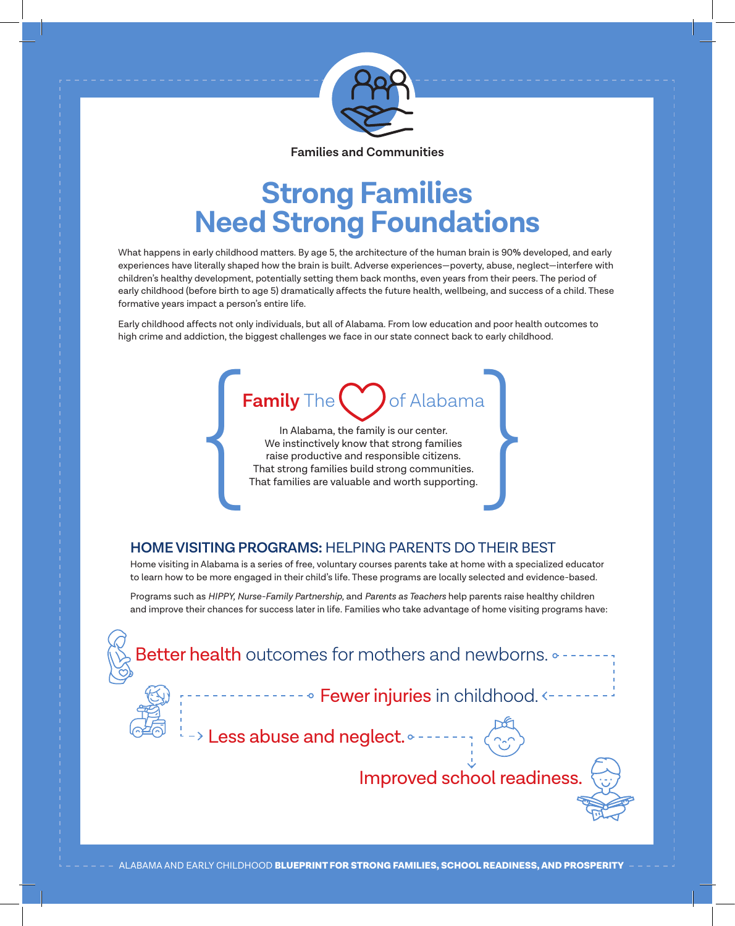

**Families and Communities**

## **Strong Families Need Strong Foundations**

What happens in early childhood matters. By age 5, the architecture of the human brain is 90% developed, and early experiences have literally shaped how the brain is built. Adverse experiences—poverty, abuse, neglect—interfere with children's healthy development, potentially setting them back months, even years from their peers. The period of early childhood (before birth to age 5) dramatically affects the future health, wellbeing, and success of a child. These formative years impact a person's entire life.

Early childhood affects not only individuals, but all of Alabama. From low education and poor health outcomes to high crime and addiction, the biggest challenges we face in our state connect back to early childhood.

### **Family** The  $\bullet$  of Alabama

In Alabama, the family is our center. We instinctively know that strong families raise productive and responsible citizens. Family The Confidabama<br>
In Alabama, the family is our center.<br>
We instinctively know that strong families<br>
raise productive and responsible citizens.<br>
That families are valuable and worth supporting.

### **HOME VISITING PROGRAMS:** HELPING PARENTS DO THEIR BEST

Home visiting in Alabama is a series of free, voluntary courses parents take at home with a specialized educator to learn how to be more engaged in their child's life. These programs are locally selected and evidence-based.

Programs such as *HIPPY, Nurse-Family Partnership,* and *Parents as Teachers* help parents raise healthy children and improve their chances for success later in life. Families who take advantage of home visiting programs have: